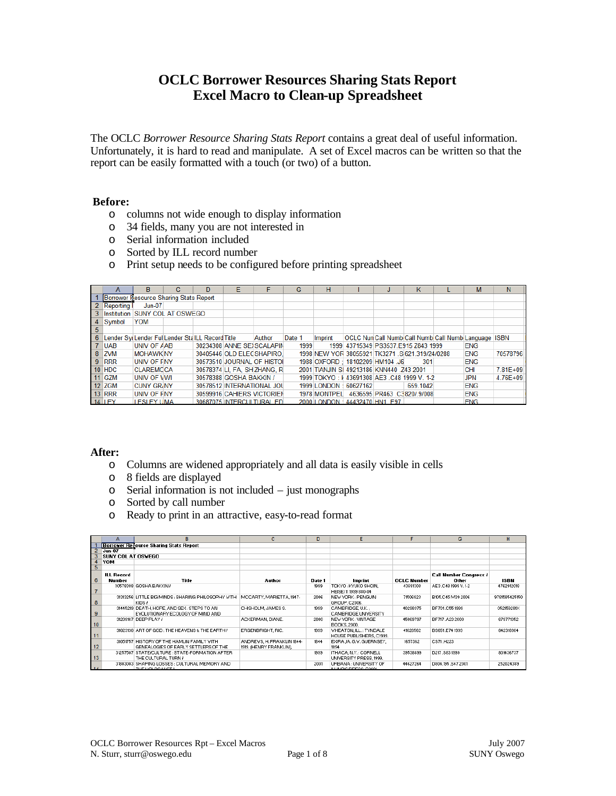# **OCLC Borrower Resources Sharing Stats Report Excel Macro to Clean-up Spreadsheet**

The OCLC *Borrower Resource Sharing Stats Report* contains a great deal of useful information. Unfortunately, it is hard to read and manipulate. A set of Excel macros can be written so that the report can be easily formatted with a touch (or two) of a button.

#### **Before:**

- o columns not wide enough to display information
- o 34 fields, many you are not interested in
- o Serial information included
- o Sorted by ILL record number
- o Print setup needs to be configured before printing spreadsheet

|    |             | R                                                 | D |                              |        | G      | н                     |                                                      | κ        | M          | N            |
|----|-------------|---------------------------------------------------|---|------------------------------|--------|--------|-----------------------|------------------------------------------------------|----------|------------|--------------|
|    |             | Borrower Resource Sharing Stats Report            |   |                              |        |        |                       |                                                      |          |            |              |
|    | 2 Reporting | $Jun-07$                                          |   |                              |        |        |                       |                                                      |          |            |              |
|    |             | 3 Institution SUNY COL AT OSWEGO                  |   |                              |        |        |                       |                                                      |          |            |              |
|    | 4 Symbol    | <b>YOM</b>                                        |   |                              |        |        |                       |                                                      |          |            |              |
| -5 |             |                                                   |   |                              |        |        |                       |                                                      |          |            |              |
| 6  |             | Lender Svillender FullLender StallLL Record Title |   |                              | Author | Date 1 | Imprint               | OCLC Nun Call Numb Call Numb Call Numb Language ISBN |          |            |              |
|    | 7 UAB       | UNIV OF AAB                                       |   | 30234308 ANNE SEXSCALAPIN    |        | 1999   |                       | 1999 43715349 PS3537.E915 Z843 1999                  |          | <b>ENG</b> |              |
|    | 8 ZVM       | <b>MOHAWK NY</b>                                  |   | 30405446 OLD ELECSHAPIRO     |        |        |                       | 1998 NEW YOR 38055921 TK3271 .S 621.319/24/0288      |          | <b>ENG</b> | 70578796     |
|    | $9$ RRR     | UNIV OF FNY                                       |   | 30573510 JOURNAL OF HISTOI   |        |        |                       | 1988 OXFORD: 18102209 HM104 J6                       | 301      | <b>ENG</b> |              |
|    | $10$ HDC    | <b>CLAREMCCA</b>                                  |   | 30578374 LI. FA. SH ZHANG. R |        |        |                       | 2001 TIANJIN SI 49213186 KNN440 .Z43 2001            |          | <b>CHI</b> | 7.81E+09     |
|    | $11$ GZM    | UNIV OF VWI                                       |   | 30578388 GOSHA BAKKIN /      |        |        |                       | 1999 TOKYO: #43691308 AE3 .C48 1999 V. 1-2           |          | <b>JPN</b> | $4.76E + 09$ |
|    | 12 ZGM      | <b>CUNY GR NY</b>                                 |   | 30578512 INTERNATIONAL JOU   |        |        | 1999 LONDON: 60627162 |                                                      | 659.1042 | <b>ENG</b> |              |
|    | $13$ RRR    | <b>UNIV OF FNY</b>                                |   | 30599916 CAHIERS VICTORIEN   |        |        |                       | 1978 MONTPEL 4636595 PR463 .C3820/.9/008             |          | <b>ENG</b> |              |
|    | 14 LEY      | LESLEY UMA                                        |   | 30687075 INTERCULTURAL ED    |        |        |                       | 2000 LONDON: 44432470 HN1.E97                        |          | <b>ENG</b> |              |

## **After:**

- o Columns are widened appropriately and all data is easily visible in cells
- o 8 fields are displayed
- o Serial information is not included just monographs
- o Sorted by call number
- o Ready to print in an attractive, easy-to-read format

|                            |                    | в                                                  |                            | D      | F                             |                    | G                             | н             |
|----------------------------|--------------------|----------------------------------------------------|----------------------------|--------|-------------------------------|--------------------|-------------------------------|---------------|
|                            |                    | <b>Borrover Recource Sharing Stats Report</b>      |                            |        |                               |                    |                               |               |
| $\overline{\phantom{1}}$ 2 | $Jun-07$           |                                                    |                            |        |                               |                    |                               |               |
|                            | SUNY COL AT OSVEGO |                                                    |                            |        |                               |                    |                               |               |
|                            | YOM                |                                                    |                            |        |                               |                    |                               |               |
| $\overline{5}$             |                    |                                                    |                            |        |                               |                    |                               |               |
|                            | <b>ILL Record</b>  |                                                    |                            |        |                               |                    | <b>Call Number Congress /</b> |               |
| 6                          | Number             | Title                                              | Author                     | Date 1 | Imprint                       | <b>OCLC Number</b> | Other                         | <b>ISBN</b>   |
|                            |                    | 30578388 GOSHA BAKKIN /                            |                            | 1999   | TOKYO: KYUKO SHOIN,           | 43691308           | AE3.C48 1999 V.1-2            | 4762912018    |
|                            |                    |                                                    |                            |        | HEISEI 11 1999 880-04         |                    |                               |               |
|                            |                    | 31313256 LITTLE BIG MINDS: SHARING PHILOSOPHY WITH | MCCARTY, MARIETTA, 1947-   | 2006   | NEV YORK : PENGUIN            | 71506823           | B105.C45 M39 2006             | 9781585425150 |
| 8                          |                    | KIDS /                                             |                            |        | GROUP, C2006.                 |                    |                               |               |
|                            |                    | 31445219 DEATH, HOPE, AND SEX: STEPS TO AN         | CHISHOLM, JAMES S.         | 1999   | CAMBRIDGE, U.K.:              | 40298375           | BF701.C551999                 | 052159281X    |
| 9                          |                    | EVOLUTIONARY ECOLOGY OF MIND AND                   |                            |        | <b>CAMBRIDGE UNIVERSITY</b>   |                    |                               |               |
|                            |                    | 31209167 DEEP PLAY /                               | ACKERMAN, DIANE.           | 2000   | NEW YORK: VINTAGE             | 45069797           | BF717.A23 2000                | 679771352     |
| 10                         |                    |                                                    |                            |        | BOOKS, 2000.                  |                    |                               |               |
|                            |                    | 31023130 ART OF GOD: THE HEAVENS & THE EARTH /     | ERGENBRIGHT, RIC.          | 1999   | <b>VHEATON, ILL.: TYNDALE</b> | 41026562           | BS651,E74 1999                | 842318984     |
| $\overline{11}$            |                    |                                                    |                            |        | HOUSE PUBLISHERS, C1999.      |                    |                               |               |
|                            |                    | 31051757 HISTORY OF THE HAMLIN FAMILY WITH         | ANDREWS, H. FRANKLIN 1844- | 1844   | EXIRA JA, G.V. GUERNSEY,      | 1657362            | CS71.H223                     |               |
| 12                         |                    | GENEALOGIES OF EARLY SETTLERS OF THE               | 1919. (HENRY FRANKLIN),    |        | 1894                          |                    |                               |               |
|                            |                    | 31257507 STATE/CULTURE: STATE-FORMATION AFTER      |                            | 1999   | ITHACA, N.Y.: CORNELL         | 39538899           | D217.S831999                  | 801436737     |
| 13                         |                    | THE CULTURAL TURN /                                |                            |        | UNIVERSITY PRESS, 1999.       |                    |                               |               |
|                            |                    | 31803003 SHAPING LOSSES: CULTURAL MEMORY AND       |                            | 2001   | URBANA : UNIVERSITY OF        | 44627264           | D804.195.S47 2001             | 252024389     |
| $-1A$                      |                    | THE HOLOCAHET L                                    |                            |        | <b>ILLIMING DOCCC C2001</b>   |                    |                               |               |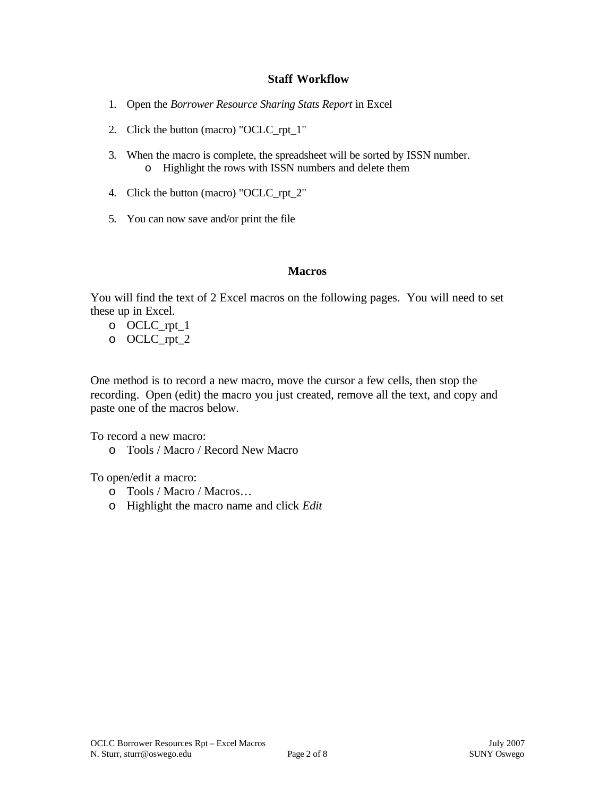## **Staff Workflow**

- 1. Open the *Borrower Resource Sharing Stats Report* in Excel
- 2. Click the button (macro) "OCLC\_rpt\_1"
- 3. When the macro is complete, the spreadsheet will be sorted by ISSN number. o Highlight the rows with ISSN numbers and delete them
- 4. Click the button (macro) "OCLC\_rpt\_2"
- 5. You can now save and/or print the file

## **Macros**

You will find the text of 2 Excel macros on the following pages. You will need to set these up in Excel.

o OCLC\_rpt\_1 o OCLC\_rpt\_2

One method is to record a new macro, move the cursor a few cells, then stop the recording. Open (edit) the macro you just created, remove all the text, and copy and paste one of the macros below.

To record a new macro:

o Tools / Macro / Record New Macro

To open/edit a macro:

- o Tools / Macro / Macros…
- o Highlight the macro name and click *Edit*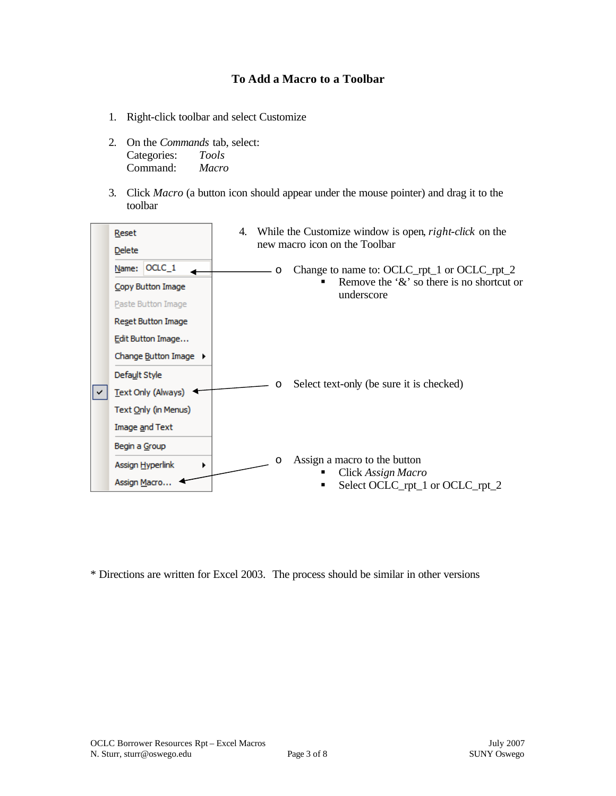# **To Add a Macro to a Toolbar**

- 1. Right-click toolbar and select Customize
- 2. On the *Commands* tab, select: Categories: *Tools* Command: *Macro*
- 3. Click *Macro* (a button icon should appear under the mouse pointer) and drag it to the toolbar



\* Directions are written for Excel 2003. The process should be similar in other versions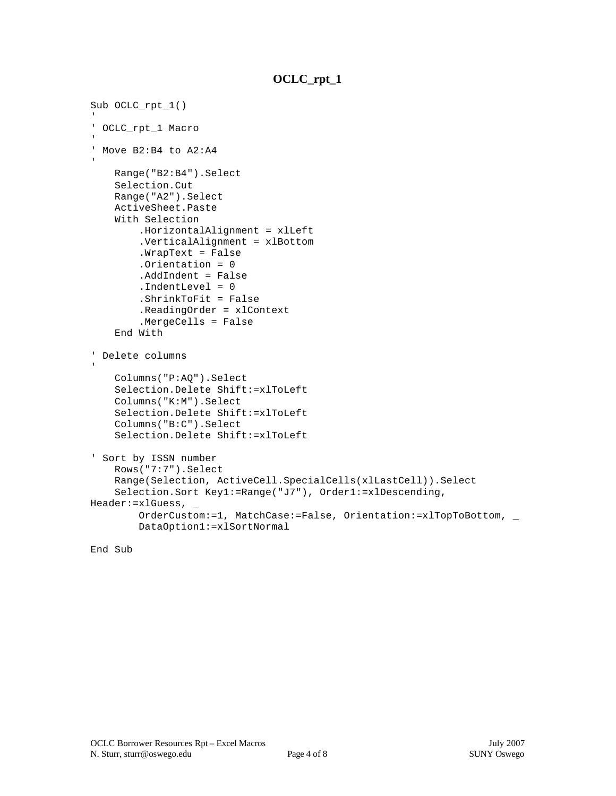# **OCLC\_rpt\_1**

```
Sub OCLC_rpt_1()
' OCLC_rpt_1 Macro
' Move B2:B4 to A2:A4
    Range("B2:B4").Select
    Selection.Cut
    Range("A2").Select
    ActiveSheet.Paste
    With Selection
         .HorizontalAlignment = xlLeft
         .VerticalAlignment = xlBottom
         .WrapText = False
         .Orientation = 0
         .AddIndent = False
         .IndentLevel = 0
         .ShrinkToFit = False
         .ReadingOrder = xlContext
         .MergeCells = False
     End With
' Delete columns
    Columns("P:AQ").Select
    Selection.Delete Shift:=xlToLeft
    Columns("K:M").Select
     Selection.Delete Shift:=xlToLeft
     Columns("B:C").Select
     Selection.Delete Shift:=xlToLeft
' Sort by ISSN number
     Rows("7:7").Select
    Range(Selection, ActiveCell.SpecialCells(xlLastCell)).Select
     Selection.Sort Key1:=Range("J7"), Order1:=xlDescending, 
Header:=xlGuess, _
         OrderCustom:=1, MatchCase:=False, Orientation:=xlTopToBottom, _
         DataOption1:=xlSortNormal
```
#### End Sub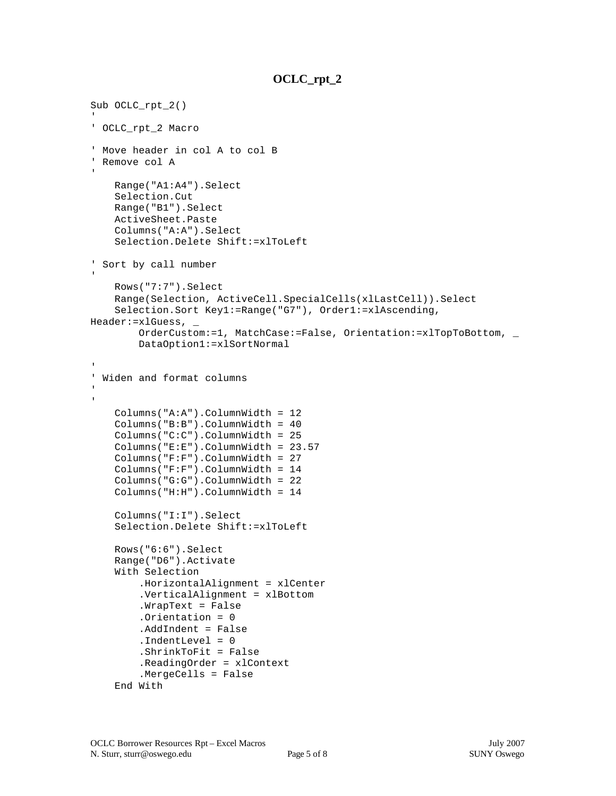# **OCLC\_rpt\_2**

```
Sub OCLC_rpt_2()
' OCLC_rpt_2 Macro
' Move header in col A to col B
' Remove col A
    Range("A1:A4").Select
    Selection.Cut
    Range("B1").Select
    ActiveSheet.Paste
     Columns("A:A").Select
     Selection.Delete Shift:=xlToLeft
' Sort by call number
    Rows("7:7").Select
    Range(Selection, ActiveCell.SpecialCells(xlLastCell)).Select
     Selection.Sort Key1:=Range("G7"), Order1:=xlAscending, 
Header:=xlGuess, _
         OrderCustom:=1, MatchCase:=False, Orientation:=xlTopToBottom, _
         DataOption1:=xlSortNormal
' Widen and format columns
     Columns("A:A").ColumnWidth = 12
     Columns("B:B").ColumnWidth = 40
     Columns("C:C").ColumnWidth = 25
     Columns("E:E").ColumnWidth = 23.57
     Columns("F:F").ColumnWidth = 27
     Columns("F:F").ColumnWidth = 14
     Columns("G:G").ColumnWidth = 22
     Columns("H:H").ColumnWidth = 14
     Columns("I:I").Select
     Selection.Delete Shift:=xlToLeft
    Rows("6:6").Select
    Range("D6").Activate
     With Selection
         .HorizontalAlignment = xlCenter
         .VerticalAlignment = xlBottom
         .WrapText = False
         .Orientation = 0
         .AddIndent = False
         .IndentLevel = 0
         .ShrinkToFit = False
         .ReadingOrder = xlContext
         .MergeCells = False
     End With
```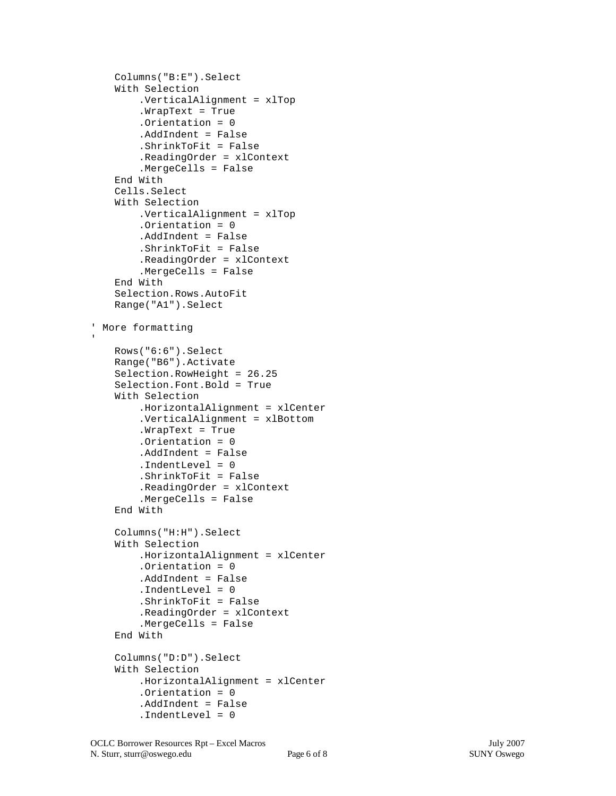```
 Columns("B:E").Select
    With Selection
         .VerticalAlignment = xlTop
         .WrapText = True
         .Orientation = 0
         .AddIndent = False
         .ShrinkToFit = False
         .ReadingOrder = xlContext
         .MergeCells = False
    End With
    Cells.Select
    With Selection
         .VerticalAlignment = xlTop
         .Orientation = 0
         .AddIndent = False
         .ShrinkToFit = False
         .ReadingOrder = xlContext
         .MergeCells = False
    End With
    Selection.Rows.AutoFit
    Range("A1").Select
' More formatting
    Rows("6:6").Select
    Range("B6").Activate
    Selection.RowHeight = 26.25
    Selection.Font.Bold = True
    With Selection
         .HorizontalAlignment = xlCenter
         .VerticalAlignment = xlBottom
         .WrapText = True
         .Orientation = 0
         .AddIndent = False
         .IndentLevel = 0
         .ShrinkToFit = False
         .ReadingOrder = xlContext
         .MergeCells = False
    End With
    Columns("H:H").Select
    With Selection
         .HorizontalAlignment = xlCenter
         .Orientation = 0
         .AddIndent = False
         .IndentLevel = 0
         .ShrinkToFit = False
         .ReadingOrder = xlContext
         .MergeCells = False
    End With
    Columns("D:D").Select
    With Selection
         .HorizontalAlignment = xlCenter
         .Orientation = 0
         .AddIndent = False
         .IndentLevel = 0
```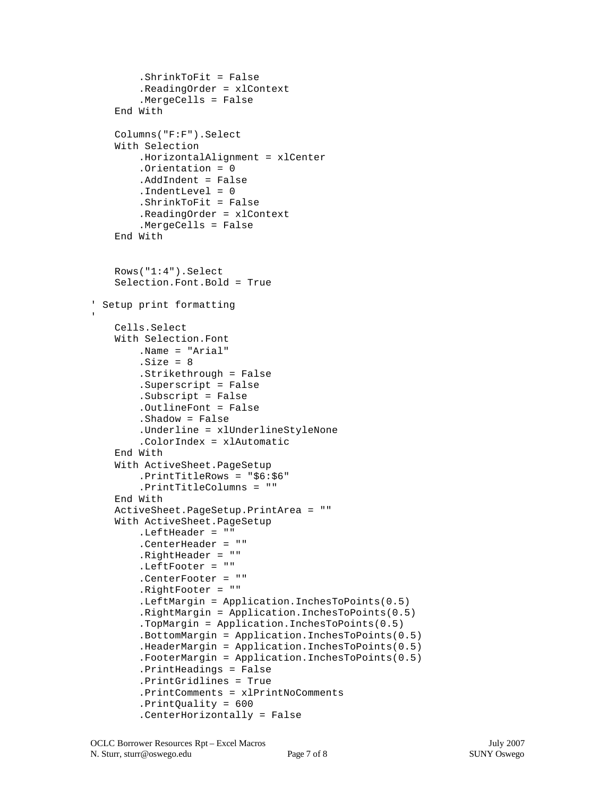```
 .ShrinkToFit = False
         .ReadingOrder = xlContext
         .MergeCells = False
    End With
    Columns("F:F").Select
    With Selection
         .HorizontalAlignment = xlCenter
         .Orientation = 0
         .AddIndent = False
         .IndentLevel = 0
         .ShrinkToFit = False
         .ReadingOrder = xlContext
         .MergeCells = False
    End With
    Rows("1:4").Select
    Selection.Font.Bold = True
' Setup print formatting
    Cells.Select
    With Selection.Font
         .Name = "Arial"
        .Size = 8 .Strikethrough = False
         .Superscript = False
         .Subscript = False
         .OutlineFont = False
         .Shadow = False
         .Underline = xlUnderlineStyleNone
         .ColorIndex = xlAutomatic
    End With
    With ActiveSheet.PageSetup
         .PrintTitleRows = "$6:$6"
         .PrintTitleColumns = ""
    End With
    ActiveSheet.PageSetup.PrintArea = ""
    With ActiveSheet.PageSetup
         .LeftHeader = ""
         .CenterHeader = ""
         .RightHeader = ""
         .LeftFooter = ""
         .CenterFooter = ""
         .RightFooter = ""
         .LeftMargin = Application.InchesToPoints(0.5)
         .RightMargin = Application.InchesToPoints(0.5)
         .TopMargin = Application.InchesToPoints(0.5)
         .BottomMargin = Application.InchesToPoints(0.5)
         .HeaderMargin = Application.InchesToPoints(0.5)
         .FooterMargin = Application.InchesToPoints(0.5)
         .PrintHeadings = False
         .PrintGridlines = True
         .PrintComments = xlPrintNoComments
         .PrintQuality = 600
         .CenterHorizontally = False
```